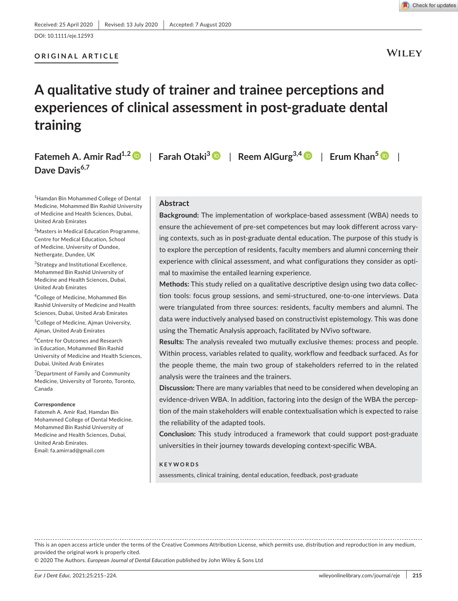### **ORIGINAL ARTICLE**

# **WILEY**

# **A qualitative study of trainer and trainee perceptions and experiences of clinical assessment in post-graduate dental training**

**Fatemeh A. Amir Rad1,2** | **Farah Otaki<sup>3</sup>** | **Reem AlGurg3,4** | **Erum Khan<sup>5</sup>** | **Dave Davis6,7**

<sup>1</sup>Hamdan Bin Mohammed College of Dental Medicine, Mohammed Bin Rashid University of Medicine and Health Sciences, Dubai, United Arab Emirates

<sup>2</sup>Masters in Medical Education Programme, Centre for Medical Education, School of Medicine, University of Dundee, Nethergate, Dundee, UK

<sup>3</sup>Strategy and Institutional Excellence, Mohammed Bin Rashid University of Medicine and Health Sciences, Dubai, United Arab Emirates

<sup>4</sup>College of Medicine, Mohammed Bin Rashid University of Medicine and Health Sciences, Dubai, United Arab Emirates

<sup>5</sup>College of Medicine, Ajman University, Ajman, United Arab Emirates

<sup>6</sup>Centre for Outcomes and Research in Education, Mohammed Bin Rashid University of Medicine and Health Sciences, Dubai, United Arab Emirates

<sup>7</sup>Department of Family and Community Medicine, University of Toronto, Toronto, Canada

#### **Correspondence**

Fatemeh A. Amir Rad, Hamdan Bin Mohammed College of Dental Medicine, Mohammed Bin Rashid University of Medicine and Health Sciences, Dubai, United Arab Emirates. Email: fa.amirrad@gmail.com

### **Abstract**

**Background:** The implementation of workplace-based assessment (WBA) needs to ensure the achievement of pre-set competences but may look different across varying contexts, such as in post-graduate dental education. The purpose of this study is to explore the perception of residents, faculty members and alumni concerning their experience with clinical assessment, and what configurations they consider as optimal to maximise the entailed learning experience.

**Methods:** This study relied on a qualitative descriptive design using two data collection tools: focus group sessions, and semi-structured, one-to-one interviews. Data were triangulated from three sources: residents, faculty members and alumni. The data were inductively analysed based on constructivist epistemology. This was done using the Thematic Analysis approach, facilitated by NVivo software.

**Results:** The analysis revealed two mutually exclusive themes: process and people. Within process, variables related to quality, workflow and feedback surfaced. As for the people theme, the main two group of stakeholders referred to in the related analysis were the trainees and the trainers.

**Discussion:** There are many variables that need to be considered when developing an evidence-driven WBA. In addition, factoring into the design of the WBA the perception of the main stakeholders will enable contextualisation which is expected to raise the reliability of the adapted tools.

**Conclusion:** This study introduced a framework that could support post-graduate universities in their journey towards developing context-specific WBA.

### **KEYWORDS**

assessments, clinical training, dental education, feedback, post-graduate

This is an open access article under the terms of the Creative Commons Attribution License, which permits use, distribution and reproduction in any medium, provided the original work is properly cited.

© 2020 The Authors. *European Journal of Dental Education* published by John Wiley & Sons Ltd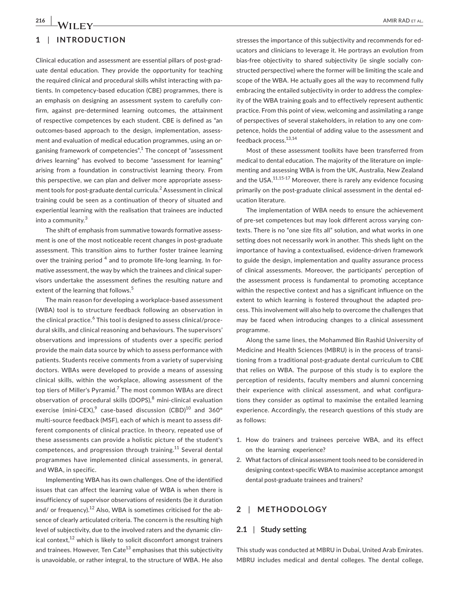## **1** | **INTRODUCTION**

Clinical education and assessment are essential pillars of post-graduate dental education. They provide the opportunity for teaching the required clinical and procedural skills whilst interacting with patients. In competency-based education (CBE) programmes, there is an emphasis on designing an assessment system to carefully confirm, against pre-determined learning outcomes, the attainment of respective competences by each student. CBE is defined as "an outcomes-based approach to the design, implementation, assessment and evaluation of medical education programmes, using an organising framework of competencies".<sup>1</sup> The concept of "assessment drives learning" has evolved to become "assessment for learning" arising from a foundation in constructivist learning theory. From this perspective, we can plan and deliver more appropriate assessment tools for post-graduate dental curricula.<sup>2</sup> Assessment in clinical training could be seen as a continuation of theory of situated and experiential learning with the realisation that trainees are inducted into a community.<sup>3</sup>

The shift of emphasis from summative towards formative assessment is one of the most noticeable recent changes in post-graduate assessment. This transition aims to further foster trainee learning over the training period <sup>4</sup> and to promote life-long learning. In formative assessment, the way by which the trainees and clinical supervisors undertake the assessment defines the resulting nature and extent of the learning that follows.<sup>5</sup>

The main reason for developing a workplace-based assessment (WBA) tool is to structure feedback following an observation in the clinical practice.<sup>6</sup> This tool is designed to assess clinical/procedural skills, and clinical reasoning and behaviours. The supervisors' observations and impressions of students over a specific period provide the main data source by which to assess performance with patients. Students receive comments from a variety of supervising doctors. WBAs were developed to provide a means of assessing clinical skills, within the workplace, allowing assessment of the top tiers of Miller's Pyramid.<sup>7</sup> The most common WBAs are direct observation of procedural skills (DOPS),<sup>8</sup> mini-clinical evaluation exercise (mini-CEX), $^9$  case-based discussion (CBD)<sup>10</sup> and 360° multi-source feedback (MSF), each of which is meant to assess different components of clinical practice. In theory, repeated use of these assessments can provide a holistic picture of the student's competences, and progression through training.<sup>11</sup> Several dental programmes have implemented clinical assessments, in general, and WBA, in specific.

Implementing WBA has its own challenges. One of the identified issues that can affect the learning value of WBA is when there is insufficiency of supervisor observations of residents (be it duration and/ or frequency). $12$  Also, WBA is sometimes criticised for the absence of clearly articulated criteria. The concern is the resulting high level of subjectivity, due to the involved raters and the dynamic clinical context, $12$  which is likely to solicit discomfort amongst trainers and trainees. However, Ten Cate $^{13}$  emphasises that this subjectivity is unavoidable, or rather integral, to the structure of WBA. He also

stresses the importance of this subjectivity and recommends for educators and clinicians to leverage it. He portrays an evolution from bias-free objectivity to shared subjectivity (ie single socially constructed perspective) where the former will be limiting the scale and scope of the WBA. He actually goes all the way to recommend fully embracing the entailed subjectivity in order to address the complexity of the WBA training goals and to effectively represent authentic practice. From this point of view, welcoming and assimilating a range of perspectives of several stakeholders, in relation to any one competence, holds the potential of adding value to the assessment and feedback process.13,14

Most of these assessment toolkits have been transferred from medical to dental education. The majority of the literature on implementing and assessing WBA is from the UK, Australia, New Zealand and the USA.<sup>11,15-17</sup> Moreover, there is rarely any evidence focusing primarily on the post-graduate clinical assessment in the dental education literature.

The implementation of WBA needs to ensure the achievement of pre-set competences but may look different across varying contexts. There is no "one size fits all" solution, and what works in one setting does not necessarily work in another. This sheds light on the importance of having a contextualised, evidence-driven framework to guide the design, implementation and quality assurance process of clinical assessments. Moreover, the participants' perception of the assessment process is fundamental to promoting acceptance within the respective context and has a significant influence on the extent to which learning is fostered throughout the adapted process. This involvement will also help to overcome the challenges that may be faced when introducing changes to a clinical assessment programme.

Along the same lines, the Mohammed Bin Rashid University of Medicine and Health Sciences (MBRU) is in the process of transitioning from a traditional post-graduate dental curriculum to CBE that relies on WBA. The purpose of this study is to explore the perception of residents, faculty members and alumni concerning their experience with clinical assessment, and what configurations they consider as optimal to maximise the entailed learning experience. Accordingly, the research questions of this study are as follows:

- 1. How do trainers and trainees perceive WBA, and its effect on the learning experience?
- 2. What factors of clinical assessment tools need to be considered in designing context-specific WBA to maximise acceptance amongst dental post-graduate trainees and trainers?

## **2** | **METHODOLOGY**

### **2.1** | **Study setting**

This study was conducted at MBRU in Dubai, United Arab Emirates. MBRU includes medical and dental colleges. The dental college,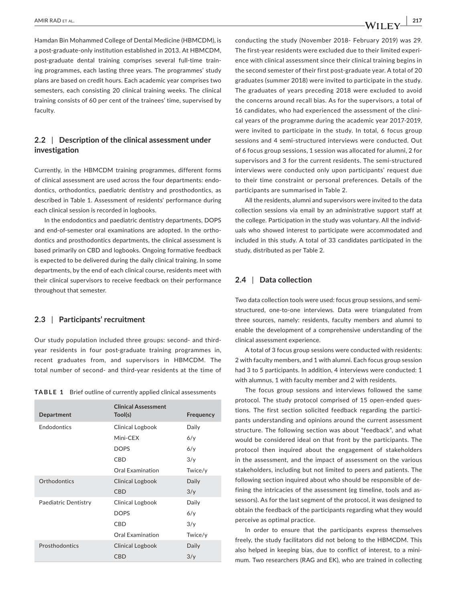Hamdan Bin Mohammed College of Dental Medicine (HBMCDM), is a post-graduate-only institution established in 2013. At HBMCDM, post-graduate dental training comprises several full-time training programmes, each lasting three years. The programmes' study plans are based on credit hours. Each academic year comprises two semesters, each consisting 20 clinical training weeks. The clinical training consists of 60 per cent of the trainees' time, supervised by faculty.

## **2.2** | **Description of the clinical assessment under investigation**

Currently, in the HBMCDM training programmes, different forms of clinical assessment are used across the four departments: endodontics, orthodontics, paediatric dentistry and prosthodontics, as described in Table 1. Assessment of residents' performance during each clinical session is recorded in logbooks.

In the endodontics and paediatric dentistry departments, DOPS and end-of-semester oral examinations are adopted. In the orthodontics and prosthodontics departments, the clinical assessment is based primarily on CBD and logbooks. Ongoing formative feedback is expected to be delivered during the daily clinical training. In some departments, by the end of each clinical course, residents meet with their clinical supervisors to receive feedback on their performance throughout that semester.

### **2.3** | **Participants' recruitment**

Our study population included three groups: second- and thirdyear residents in four post-graduate training programmes in, recent graduates from, and supervisors in HBMCDM. The total number of second- and third-year residents at the time of

**TABLE 1** Brief outline of currently applied clinical assessments

| Department           | <b>Clinical Assessment</b><br>Tool(s) | Frequency |
|----------------------|---------------------------------------|-----------|
| Endodontics          | Clinical Logbook                      | Daily     |
|                      | Mini-CEX                              | 6/y       |
|                      | <b>DOPS</b>                           | 6/y       |
|                      | CBD                                   | 3/y       |
|                      | <b>Oral Examination</b>               | Twice/y   |
| Orthodontics         | <b>Clinical Logbook</b>               | Daily     |
|                      | <b>CBD</b>                            | 3/y       |
| Paediatric Dentistry | Clinical Logbook                      | Daily     |
|                      | <b>DOPS</b>                           | 6/y       |
|                      | CBD                                   | 3/y       |
|                      | Oral Examination                      | Twice/y   |
| Prosthodontics       | <b>Clinical Logbook</b>               | Daily     |
|                      | <b>CBD</b>                            | 3/y       |

conducting the study (November 2018- February 2019) was 29. The first-year residents were excluded due to their limited experience with clinical assessment since their clinical training begins in the second semester of their first post-graduate year. A total of 20 graduates (summer 2018) were invited to participate in the study. The graduates of years preceding 2018 were excluded to avoid the concerns around recall bias. As for the supervisors, a total of 16 candidates, who had experienced the assessment of the clinical years of the programme during the academic year 2017-2019, were invited to participate in the study. In total, 6 focus group sessions and 4 semi-structured interviews were conducted. Out of 6 focus group sessions, 1 session was allocated for alumni, 2 for supervisors and 3 for the current residents. The semi-structured interviews were conducted only upon participants' request due to their time constraint or personal preferences. Details of the participants are summarised in Table 2.

All the residents, alumni and supervisors were invited to the data collection sessions via email by an administrative support staff at the college. Participation in the study was voluntary. All the individuals who showed interest to participate were accommodated and included in this study. A total of 33 candidates participated in the study, distributed as per Table 2.

### **2.4** | **Data collection**

Two data collection tools were used: focus group sessions, and semistructured, one-to-one interviews. Data were triangulated from three sources, namely: residents, faculty members and alumni to enable the development of a comprehensive understanding of the clinical assessment experience.

A total of 3 focus group sessions were conducted with residents: 2 with faculty members, and 1 with alumni. Each focus group session had 3 to 5 participants. In addition, 4 interviews were conducted: 1 with alumnus, 1 with faculty member and 2 with residents.

The focus group sessions and interviews followed the same protocol. The study protocol comprised of 15 open-ended questions. The first section solicited feedback regarding the participants understanding and opinions around the current assessment structure. The following section was about "feedback", and what would be considered ideal on that front by the participants. The protocol then inquired about the engagement of stakeholders in the assessment, and the impact of assessment on the various stakeholders, including but not limited to peers and patients. The following section inquired about who should be responsible of defining the intricacies of the assessment (eg timeline, tools and assessors). As for the last segment of the protocol, it was designed to obtain the feedback of the participants regarding what they would perceive as optimal practice.

In order to ensure that the participants express themselves freely, the study facilitators did not belong to the HBMCDM. This also helped in keeping bias, due to conflict of interest, to a minimum. Two researchers (RAG and EK), who are trained in collecting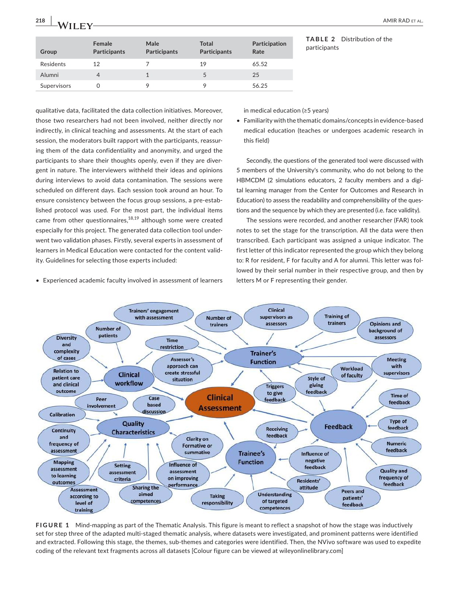| Group       | Female<br><b>Participants</b> | Male<br><b>Participants</b> | Total<br><b>Participants</b> | Participation<br>Rate | TABLE <sub>2</sub><br>participants |
|-------------|-------------------------------|-----------------------------|------------------------------|-----------------------|------------------------------------|
| Residents   | 12                            |                             | 19                           | 65.52                 |                                    |
| Alumni      | 4                             |                             |                              | 25                    |                                    |
| Supervisors |                               |                             |                              | 56.25                 |                                    |

**Distribution of the** 

qualitative data, facilitated the data collection initiatives. Moreover, those two researchers had not been involved, neither directly nor indirectly, in clinical teaching and assessments. At the start of each session, the moderators built rapport with the participants, reassuring them of the data confidentiality and anonymity, and urged the participants to share their thoughts openly, even if they are divergent in nature. The interviewers withheld their ideas and opinions during interviews to avoid data contamination. The sessions were scheduled on different days. Each session took around an hour. To ensure consistency between the focus group sessions, a pre-established protocol was used. For the most part, the individual items came from other questionnaires, $18,19$  although some were created especially for this project. The generated data collection tool underwent two validation phases. Firstly, several experts in assessment of learners in Medical Education were contacted for the content validity. Guidelines for selecting those experts included:

### • Experienced academic faculty involved in assessment of learners

in medical education (≥5 years)

• Familiarity with the thematic domains/concepts in evidence-based medical education (teaches or undergoes academic research in this field)

Secondly, the questions of the generated tool were discussed with 5 members of the University's community, who do not belong to the HBMCDM (2 simulations educators, 2 faculty members and a digital learning manager from the Center for Outcomes and Research in Education) to assess the readability and comprehensibility of the questions and the sequence by which they are presented (i.e. face validity).

The sessions were recorded, and another researcher (FAR) took notes to set the stage for the transcription. All the data were then transcribed. Each participant was assigned a unique indicator. The first letter of this indicator represented the group which they belong to: R for resident, F for faculty and A for alumni. This letter was followed by their serial number in their respective group, and then by letters M or F representing their gender.



**FIGURE 1** Mind-mapping as part of the Thematic Analysis. This figure is meant to reflect a snapshot of how the stage was inductively set for step three of the adapted multi-staged thematic analysis, where datasets were investigated, and prominent patterns were identified and extracted. Following this stage, the themes, sub-themes and categories were identified. Then, the NVivo software was used to expedite coding of the relevant text fragments across all datasets [Colour figure can be viewed at wileyonlinelibrary.com]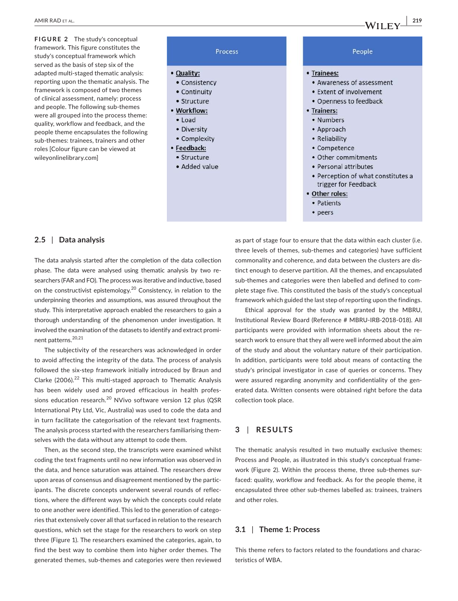**FIGURE 2** The study's conceptual framework. This figure constitutes the study's conceptual framework which served as the basis of step six of the adapted multi-staged thematic analysis: reporting upon the thematic analysis. The framework is composed of two themes of clinical assessment, namely: process and people. The following sub-themes were all grouped into the process theme: quality, workflow and feedback, and the people theme encapsulates the following sub-themes: trainees, trainers and other roles [Colour figure can be viewed at wileyonlinelibrary.com]

|                | VVILET                                                     |
|----------------|------------------------------------------------------------|
| <b>Process</b> | People                                                     |
| • Quality:     | • Trainees:                                                |
| • Consistency  | • Awareness of assessment                                  |
| • Continuity   | • Extent of involvement                                    |
| • Structure    | • Openness to feedback                                     |
| • Workflow:    | • Trainers:                                                |
| • Load         | • Numbers                                                  |
| • Diversity    | • Approach                                                 |
| • Complexity   | • Reliability                                              |
| • Feedback:    | • Competence                                               |
| • Structure    | • Other commitments                                        |
| • Added value  | • Personal attributes                                      |
|                | • Perception of what constitutes a<br>trigger for Feedback |
|                | • Other roles:                                             |
|                | • Patients                                                 |
|                | • peers                                                    |

### **2.5** | **Data analysis**

The data analysis started after the completion of the data collection phase. The data were analysed using thematic analysis by two researchers (FAR and FO). The process was iterative and inductive, based on the constructivist epistemology.<sup>20</sup> Consistency, in relation to the underpinning theories and assumptions, was assured throughout the study. This interpretative approach enabled the researchers to gain a thorough understanding of the phenomenon under investigation. It involved the examination of the datasets to identify and extract prominent patterns.20,21

The subjectivity of the researchers was acknowledged in order to avoid affecting the integrity of the data. The process of analysis followed the six-step framework initially introduced by Braun and Clarke (2006).<sup>22</sup> This multi-staged approach to Thematic Analysis has been widely used and proved efficacious in health professions education research.<sup>20</sup> NVivo software version 12 plus (QSR International Pty Ltd, Vic, Australia) was used to code the data and in turn facilitate the categorisation of the relevant text fragments. The analysis process started with the researchers familiarising themselves with the data without any attempt to code them.

Then, as the second step, the transcripts were examined whilst coding the text fragments until no new information was observed in the data, and hence saturation was attained. The researchers drew upon areas of consensus and disagreement mentioned by the participants. The discrete concepts underwent several rounds of reflections, where the different ways by which the concepts could relate to one another were identified. This led to the generation of categories that extensively cover all that surfaced in relation to the research questions, which set the stage for the researchers to work on step three (Figure 1). The researchers examined the categories, again, to find the best way to combine them into higher order themes. The generated themes, sub-themes and categories were then reviewed

as part of stage four to ensure that the data within each cluster (i.e. three levels of themes, sub-themes and categories) have sufficient commonality and coherence, and data between the clusters are distinct enough to deserve partition. All the themes, and encapsulated sub-themes and categories were then labelled and defined to complete stage five. This constituted the basis of the study's conceptual framework which guided the last step of reporting upon the findings.

Ethical approval for the study was granted by the MBRU, Institutional Review Board (Reference # MBRU-IRB-2018-018). All participants were provided with information sheets about the research work to ensure that they all were well informed about the aim of the study and about the voluntary nature of their participation. In addition, participants were told about means of contacting the study's principal investigator in case of queries or concerns. They were assured regarding anonymity and confidentiality of the generated data. Written consents were obtained right before the data collection took place.

## **3** | **RESULTS**

The thematic analysis resulted in two mutually exclusive themes: Process and People, as illustrated in this study's conceptual framework (Figure 2). Within the process theme, three sub-themes surfaced: quality, workflow and feedback. As for the people theme, it encapsulated three other sub-themes labelled as: trainees, trainers and other roles.

## **3.1** | **Theme 1: Process**

This theme refers to factors related to the foundations and characteristics of WBA.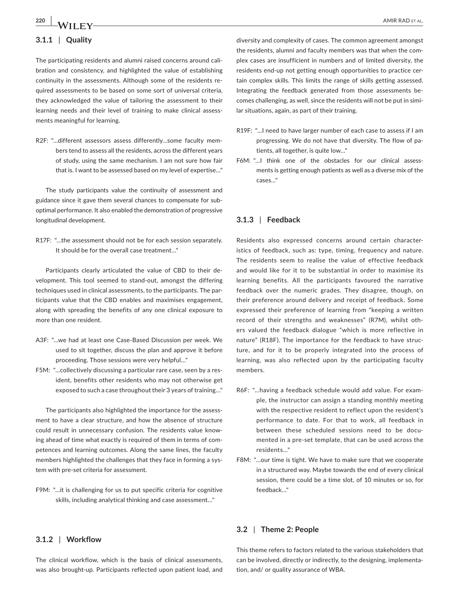## **3.1.1** | **Quality**

The participating residents and alumni raised concerns around calibration and consistency, and highlighted the value of establishing continuity in the assessments. Although some of the residents required assessments to be based on some sort of universal criteria, they acknowledged the value of tailoring the assessment to their learning needs and their level of training to make clinical assessments meaningful for learning.

R2F: "…different assessors assess differently…some faculty members tend to assess all the residents, across the different years of study, using the same mechanism. I am not sure how fair that is. I want to be assessed based on my level of expertise…"

The study participants value the continuity of assessment and guidance since it gave them several chances to compensate for suboptimal performance. It also enabled the demonstration of progressive longitudinal development.

R17F: "…the assessment should not be for each session separately. It should be for the overall case treatment…"

Participants clearly articulated the value of CBD to their development. This tool seemed to stand-out, amongst the differing techniques used in clinical assessments, to the participants. The participants value that the CBD enables and maximises engagement, along with spreading the benefits of any one clinical exposure to more than one resident.

- A3F: "…we had at least one Case-Based Discussion per week. We used to sit together, discuss the plan and approve it before proceeding. Those sessions were very helpful…"
- F5M: "…collectively discussing a particular rare case, seen by a resident, benefits other residents who may not otherwise get exposed to such a case throughout their 3 years of training…"

The participants also highlighted the importance for the assessment to have a clear structure, and how the absence of structure could result in unnecessary confusion. The residents value knowing ahead of time what exactly is required of them in terms of competences and learning outcomes. Along the same lines, the faculty members highlighted the challenges that they face in forming a system with pre-set criteria for assessment.

F9M: "…it is challenging for us to put specific criteria for cognitive skills, including analytical thinking and case assessment…"

## **3.1.2** | **Workflow**

The clinical workflow, which is the basis of clinical assessments, was also brought-up. Participants reflected upon patient load, and

diversity and complexity of cases. The common agreement amongst the residents, alumni and faculty members was that when the complex cases are insufficient in numbers and of limited diversity, the residents end-up not getting enough opportunities to practice certain complex skills. This limits the range of skills getting assessed. Integrating the feedback generated from those assessments becomes challenging, as well, since the residents will not be put in similar situations, again, as part of their training.

- R19F: "…I need to have larger number of each case to assess if I am progressing. We do not have that diversity. The flow of patients, all together, is quite low…"
- F6M: "…I think one of the obstacles for our clinical assessments is getting enough patients as well as a diverse mix of the cases…"

## **3.1.3** | **Feedback**

Residents also expressed concerns around certain characteristics of feedback, such as: type, timing, frequency and nature. The residents seem to realise the value of effective feedback and would like for it to be substantial in order to maximise its learning benefits. All the participants favoured the narrative feedback over the numeric grades. They disagree, though, on their preference around delivery and receipt of feedback. Some expressed their preference of learning from "keeping a written record of their strengths and weaknesses" (R7M), whilst others valued the feedback dialogue "which is more reflective in nature" (R18F). The importance for the feedback to have structure, and for it to be properly integrated into the process of learning, was also reflected upon by the participating faculty members.

- R6F: "…having a feedback schedule would add value. For example, the instructor can assign a standing monthly meeting with the respective resident to reflect upon the resident's performance to date. For that to work, all feedback in between these scheduled sessions need to be documented in a pre-set template, that can be used across the residents…"
- F8M: "…our time is tight. We have to make sure that we cooperate in a structured way. Maybe towards the end of every clinical session, there could be a time slot, of 10 minutes or so, for feedback…"

## **3.2** | **Theme 2: People**

This theme refers to factors related to the various stakeholders that can be involved, directly or indirectly, to the designing, implementation, and/ or quality assurance of WBA.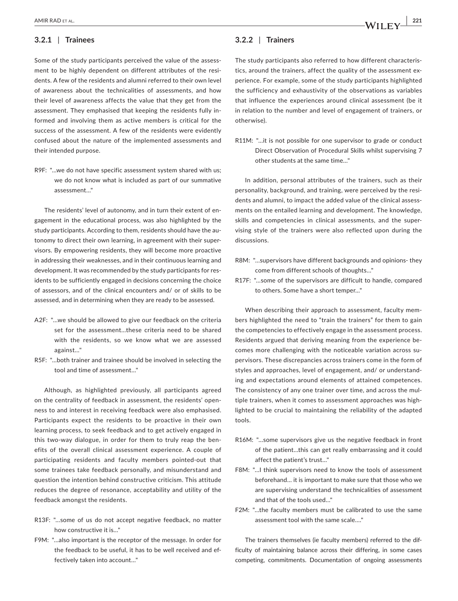## **3.2.1** | **Trainees**

Some of the study participants perceived the value of the assessment to be highly dependent on different attributes of the residents. A few of the residents and alumni referred to their own level of awareness about the technicalities of assessments, and how their level of awareness affects the value that they get from the assessment. They emphasised that keeping the residents fully informed and involving them as active members is critical for the success of the assessment. A few of the residents were evidently confused about the nature of the implemented assessments and their intended purpose.

R9F: "…we do not have specific assessment system shared with us; we do not know what is included as part of our summative assessment…"

The residents' level of autonomy, and in turn their extent of engagement in the educational process, was also highlighted by the study participants. According to them, residents should have the autonomy to direct their own learning, in agreement with their supervisors. By empowering residents, they will become more proactive in addressing their weaknesses, and in their continuous learning and development. It was recommended by the study participants for residents to be sufficiently engaged in decisions concerning the choice of assessors, and of the clinical encounters and/ or of skills to be assessed, and in determining when they are ready to be assessed.

- A2F: "…we should be allowed to give our feedback on the criteria set for the assessment…these criteria need to be shared with the residents, so we know what we are assessed against…"
- R5F: "…both trainer and trainee should be involved in selecting the tool and time of assessment…"

Although, as highlighted previously, all participants agreed on the centrality of feedback in assessment, the residents' openness to and interest in receiving feedback were also emphasised. Participants expect the residents to be proactive in their own learning process, to seek feedback and to get actively engaged in this two-way dialogue, in order for them to truly reap the benefits of the overall clinical assessment experience. A couple of participating residents and faculty members pointed-out that some trainees take feedback personally, and misunderstand and question the intention behind constructive criticism. This attitude reduces the degree of resonance, acceptability and utility of the feedback amongst the residents.

- R13F: "…some of us do not accept negative feedback, no matter how constructive it is…"
- F9M: "…also important is the receptor of the message. In order for the feedback to be useful, it has to be well received and effectively taken into account…"

### **3.2.2** | **Trainers**

The study participants also referred to how different characteristics, around the trainers, affect the quality of the assessment experience. For example, some of the study participants highlighted the sufficiency and exhaustivity of the observations as variables that influence the experiences around clinical assessment (be it in relation to the number and level of engagement of trainers, or otherwise).

R11M: "…it is not possible for one supervisor to grade or conduct Direct Observation of Procedural Skills whilst supervising 7 other students at the same time…"

In addition, personal attributes of the trainers, such as their personality, background, and training, were perceived by the residents and alumni, to impact the added value of the clinical assessments on the entailed learning and development. The knowledge, skills and competencies in clinical assessments, and the supervising style of the trainers were also reflected upon during the discussions.

- R8M: "…supervisors have different backgrounds and opinions- they come from different schools of thoughts…"
- R17F: "…some of the supervisors are difficult to handle, compared to others. Some have a short temper…"

When describing their approach to assessment, faculty members highlighted the need to "train the trainers" for them to gain the competencies to effectively engage in the assessment process. Residents argued that deriving meaning from the experience becomes more challenging with the noticeable variation across supervisors. These discrepancies across trainers come in the form of styles and approaches, level of engagement, and/ or understanding and expectations around elements of attained competences. The consistency of any one trainer over time, and across the multiple trainers, when it comes to assessment approaches was highlighted to be crucial to maintaining the reliability of the adapted tools.

- R16M: "…some supervisors give us the negative feedback in front of the patient…this can get really embarrassing and it could affect the patient's trust…"
- F8M: "…I think supervisors need to know the tools of assessment beforehand… it is important to make sure that those who we are supervising understand the technicalities of assessment and that of the tools used…"
- F2M: "…the faculty members must be calibrated to use the same assessment tool with the same scale…."

The trainers themselves (ie faculty members) referred to the difficulty of maintaining balance across their differing, in some cases competing, commitments. Documentation of ongoing assessments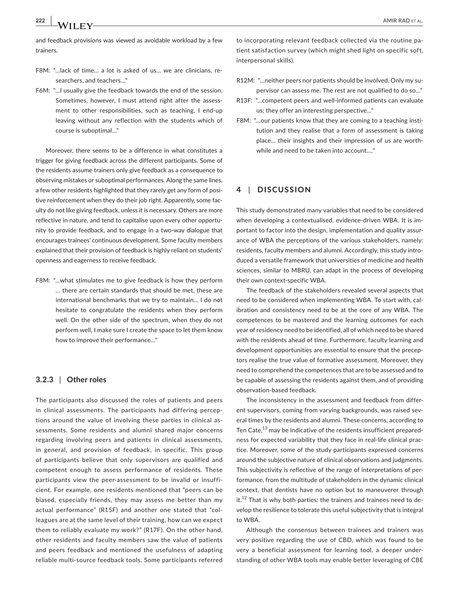**222 <sup>|</sup>**  AMIR RAD et Al.

and feedback provisions was viewed as avoidable workload by a few trainers.

- F8M: "…lack of time… a lot is asked of us… we are clinicians, researchers, and teachers…"
- F6M: "…I usually give the feedback towards the end of the session. Sometimes, however, I must attend right after the assessment to other responsibilities, such as teaching, I end-up leaving without any reflection with the students which of course is suboptimal…"

Moreover, there seems to be a difference in what constitutes a trigger for giving feedback across the different participants. Some of the residents assume trainers only give feedback as a consequence to observing mistakes or suboptimal performances. Along the same lines, a few other residents highlighted that they rarely get any form of positive reinforcement when they do their job right. Apparently, some faculty do not like giving feedback, unless it is necessary. Others are more reflective in nature, and tend to capitalise upon every other opportunity to provide feedback, and to engage in a two-way dialogue that encourages trainees' continuous development. Some faculty members explained that their provision of feedback is highly reliant on students' openness and eagerness to receive feedback.

F8M: "…what stimulates me to give feedback is how they perform … there are certain standards that should be met, these are international benchmarks that we try to maintain… I do not hesitate to congratulate the residents when they perform well. On the other side of the spectrum, when they do not perform well, I make sure I create the space to let them know how to improve their performance…"

### **3.2.3** | **Other roles**

The participants also discussed the roles of patients and peers in clinical assessments. The participants had differing perceptions around the value of involving these parties in clinical assessments. Some residents and alumni shared major concerns regarding involving peers and patients in clinical assessments, in general, and provision of feedback, in specific. This group of participants believe that only supervisors are qualified and competent enough to assess performance of residents. These participants view the peer-assessment to be invalid or insufficient. For example, one residents mentioned that "peers can be biased, especially friends, they may assess me better than my actual performance" (R15F) and another one stated that "colleagues are at the same level of their training, how can we expect them to reliably evaluate my work?" (R17F). On the other hand, other residents and faculty members saw the value of patients and peers feedback and mentioned the usefulness of adapting reliable multi-source feedback tools. Some participants referred

to incorporating relevant feedback collected via the routine patient satisfaction survey (which might shed light on specific soft, interpersonal skills).

- R12M: "…neither peers nor patients should be involved. Only my supervisor can assess me. The rest are not qualified to do so…"
- R13F: "…competent peers and well-informed patients can evaluate us; they offer an interesting perspective…"
- F8M: "…our patients know that they are coming to a teaching institution and they realise that a form of assessment is taking place… their insights and their impression of us are worthwhile and need to be taken into account…."

## **4** | **DISCUSSION**

This study demonstrated many variables that need to be considered when developing a contextualised, evidence-driven WBA. It is important to factor into the design, implementation and quality assurance of WBA the perceptions of the various stakeholders, namely: residents, faculty members and alumni. Accordingly, this study introduced a versatile framework that universities of medicine and health sciences, similar to MBRU, can adapt in the process of developing their own context-specific WBA.

The feedback of the stakeholders revealed several aspects that need to be considered when implementing WBA. To start with, calibration and consistency need to be at the core of any WBA. The competences to be mastered and the learning outcomes for each year of residency need to be identified, all of which need to be shared with the residents ahead of time. Furthermore, faculty learning and development opportunities are essential to ensure that the preceptors realise the true value of formative assessment. Moreover, they need to comprehend the competences that are to be assessed and to be capable of assessing the residents against them, and of providing observation-based feedback.

The inconsistency in the assessment and feedback from different supervisors, coming from varying backgrounds, was raised several times by the residents and alumni. These concerns, according to Ten Cate,<sup>13</sup> may be indicative of the residents insufficient preparedness for expected variability that they face in real-life clinical practice. Moreover, some of the study participants expressed concerns around the subjective nature of clinical observations and judgments. This subjectivity is reflective of the range of interpretations of performance, from the multitude of stakeholders in the dynamic clinical context, that dentists have no option but to maneuverer through it.<sup>12</sup> That is why both parties: the trainers and trainees need to develop the resilience to tolerate this useful subjectivity that is integral to WBA.

Although the consensus between trainees and trainers was very positive regarding the use of CBD, which was found to be very a beneficial assessment for learning tool, a deeper understanding of other WBA tools may enable better leveraging of CBE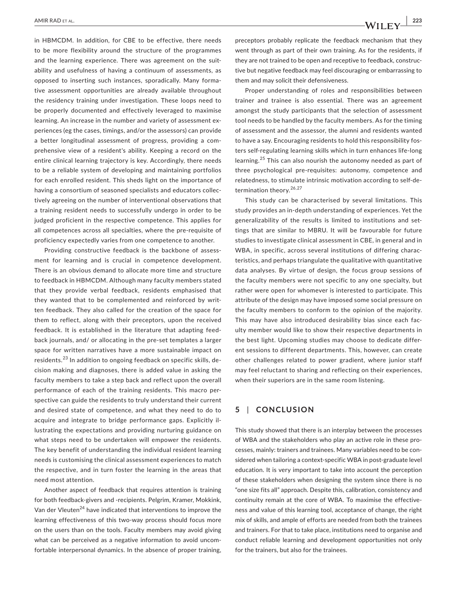in HBMCDM. In addition, for CBE to be effective, there needs to be more flexibility around the structure of the programmes and the learning experience. There was agreement on the suitability and usefulness of having a continuum of assessments, as opposed to inserting such instances, sporadically. Many formative assessment opportunities are already available throughout the residency training under investigation. These loops need to be properly documented and effectively leveraged to maximise learning. An increase in the number and variety of assessment experiences (eg the cases, timings, and/or the assessors) can provide a better longitudinal assessment of progress, providing a comprehensive view of a resident's ability. Keeping a record on the entire clinical learning trajectory is key. Accordingly, there needs to be a reliable system of developing and maintaining portfolios for each enrolled resident. This sheds light on the importance of having a consortium of seasoned specialists and educators collectively agreeing on the number of interventional observations that a training resident needs to successfully undergo in order to be judged proficient in the respective competence. This applies for all competences across all specialties, where the pre-requisite of proficiency expectedly varies from one competence to another.

Providing constructive feedback is the backbone of assessment for learning and is crucial in competence development. There is an obvious demand to allocate more time and structure to feedback in HBMCDM. Although many faculty members stated that they provide verbal feedback, residents emphasised that they wanted that to be complemented and reinforced by written feedback. They also called for the creation of the space for them to reflect, along with their preceptors, upon the received feedback. It is established in the literature that adapting feedback journals, and/ or allocating in the pre-set templates a larger space for written narratives have a more sustainable impact on residents.23 In addition to ongoing feedback on specific skills, decision making and diagnoses, there is added value in asking the faculty members to take a step back and reflect upon the overall performance of each of the training residents. This macro perspective can guide the residents to truly understand their current and desired state of competence, and what they need to do to acquire and integrate to bridge performance gaps. Explicitly illustrating the expectations and providing nurturing guidance on what steps need to be undertaken will empower the residents. The key benefit of understanding the individual resident learning needs is customising the clinical assessment experiences to match the respective, and in turn foster the learning in the areas that need most attention.

Another aspect of feedback that requires attention is training for both feedback-givers and -recipients. Pelgrim, Kramer, Mokkink, Van der Vleuten $^{24}$  have indicated that interventions to improve the learning effectiveness of this two-way process should focus more on the users than on the tools. Faculty members may avoid giving what can be perceived as a negative information to avoid uncomfortable interpersonal dynamics. In the absence of proper training, preceptors probably replicate the feedback mechanism that they went through as part of their own training. As for the residents, if they are not trained to be open and receptive to feedback, constructive but negative feedback may feel discouraging or embarrassing to them and may solicit their defensiveness.

Proper understanding of roles and responsibilities between trainer and trainee is also essential. There was an agreement amongst the study participants that the selection of assessment tool needs to be handled by the faculty members. As for the timing of assessment and the assessor, the alumni and residents wanted to have a say. Encouraging residents to hold this responsibility fosters self-regulating learning skills which in turn enhances life-long learning.<sup>25</sup> This can also nourish the autonomy needed as part of three psychological pre-requisites: autonomy, competence and relatedness, to stimulate intrinsic motivation according to self-determination theory.26,27

This study can be characterised by several limitations. This study provides an in-depth understanding of experiences. Yet the generalizability of the results is limited to institutions and settings that are similar to MBRU. It will be favourable for future studies to investigate clinical assessment in CBE, in general and in WBA, in specific, across several institutions of differing characteristics, and perhaps triangulate the qualitative with quantitative data analyses. By virtue of design, the focus group sessions of the faculty members were not specific to any one specialty, but rather were open for whomever is interested to participate. This attribute of the design may have imposed some social pressure on the faculty members to conform to the opinion of the majority. This may have also introduced desirability bias since each faculty member would like to show their respective departments in the best light. Upcoming studies may choose to dedicate different sessions to different departments. This, however, can create other challenges related to power gradient, where junior staff may feel reluctant to sharing and reflecting on their experiences, when their superiors are in the same room listening.

## **5** | **CONCLUSION**

This study showed that there is an interplay between the processes of WBA and the stakeholders who play an active role in these processes, mainly: trainers and trainees. Many variables need to be considered when tailoring a context-specific WBA in post-graduate level education. It is very important to take into account the perception of these stakeholders when designing the system since there is no "one size fits all" approach. Despite this, calibration, consistency and continuity remain at the core of WBA. To maximise the effectiveness and value of this learning tool, acceptance of change, the right mix of skills, and ample of efforts are needed from both the trainees and trainers. For that to take place, institutions need to organise and conduct reliable learning and development opportunities not only for the trainers, but also for the trainees.